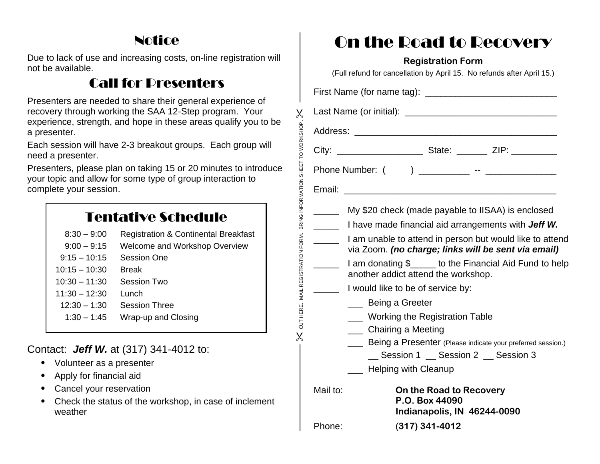## Notice

Due to lack of use and increasing costs, on-line registration will not be available.

# Call for Presenters

Presenters are needed to share their general experience of recovery through working the SAA 12-Step program. Your experience, strength, and hope in these areas qualify you to be a presenter.

Each session will have 2-3 breakout groups. Each group will need a presenter.

Presenters, please plan on taking 15 or 20 minutes to introduce your topic and allow for some type of group interaction to complete your session.

## Tentative Schedule

- 8:30 9:00 Registration & Continental Breakfast
- 9:00 9:15 Welcome and Workshop Overview
- 9:15 10:15 Session One
- 10:15 10:30 Break
- 10:30 11:30 Session Two
- 11:30 12:30 Lunch
- $12:30 1:30$  Session Three
- 1:30 1:45 Wrap-up and Closing

#### Contact: *Jeff W.* at (317) 341-4012 to:

- Volunteer as a presenter
- Apply for financial aid
- Cancel your reservation
- Check the status of the workshop, in case of inclement weather

# On the Road to Recovery

#### **Registration Form**

(Full refund for cancellation by April 15. No refunds after April 15.) First Name (for name tag): \_\_\_\_\_\_\_\_\_\_\_\_\_\_\_\_\_\_\_\_\_\_\_\_\_\_ Last Name (or initial): Address: \_\_\_\_\_\_\_\_\_\_\_\_\_\_\_\_\_\_\_\_\_\_\_\_\_\_\_\_\_\_\_\_\_\_\_\_\_\_\_\_ City: \_\_\_\_\_\_\_\_\_\_\_\_\_\_\_\_\_ State: \_\_\_\_\_\_ ZIP: \_\_\_\_\_\_\_\_\_ Phone Number: ( ) \_\_\_\_\_\_\_\_\_\_ -- \_\_\_\_\_\_\_\_\_\_\_\_\_ Email: \_\_\_\_\_\_\_\_\_\_\_\_\_\_\_\_\_\_\_\_\_\_\_\_\_\_\_\_\_\_\_\_\_\_\_\_\_\_\_\_\_\_ My \$20 check (made payable to IISAA) is enclosed \_\_\_\_\_ I have made financial aid arrangements with *Jeff W.* **\_\_\_\_\_** I am unable to attend in person but would like to attend via Zoom. *(no charge; links will be sent via email)* **The Land of all and donating \$** \_\_\_\_\_ to the Financial Aid Fund to help another addict attend the workshop. I would like to be of service by: \_\_\_ Being a Greeter **\_\_\_ Working the Registration Table** \_\_\_ Chairing a Meeting **\_\_\_\_ Being a Presenter** (Please indicate your preferred session.) Session 1 \_\_ Session 2 \_\_ Session 3 Helping with Cleanup Mail to: **On the Road to Recovery P.O. Box 44090 Indianapolis, IN 46244-0090** Phone: (**317) 341-4012**

 $\%$  cut here. Mail registration form. Bring information sheet to work/shop.  $\%$ 

CUT HERE. MAIL REGISTRATION FORM.

BRING INFORMATION

 $\times$ 

SHEET TO WORKSHOP.